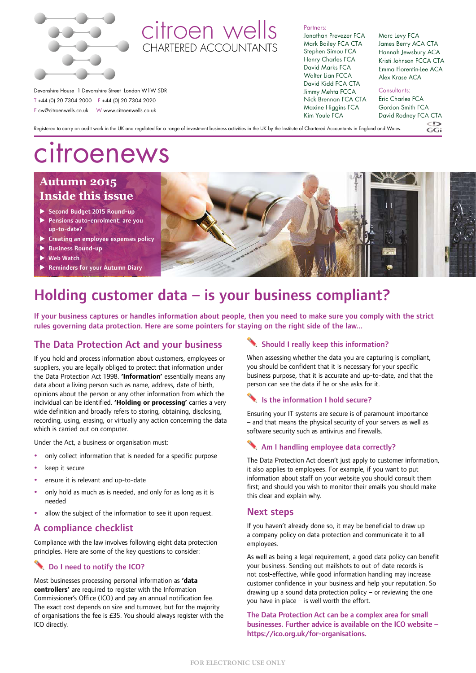

# citroen wells CHARTERED ACCOUNTANT

Partners: Jonathan Prevezer FCA Mark Bailey FCA CTA Stephen Simou FCA Henry Charles FCA David Marks FCA Walter Lian FCCA David Kidd FCA CTA Jimmy Mehta FCCA

Nick Brennan FCA CTA Maxine Higgins FCA Kim Youle FCA

#### Marc Levy FCA James Berry ACA CTA Hannah Jewsbury ACA Kristi Johnson FCCA CTA Emma Florentin-Lee ACA Alex Krase ACA

Devonshire House 1 Devonshire Street London W1W 5DR T +44 (0) 20 7304 2000 F +44 (0) 20 7304 2020 E cw@citroenwells.co.uk W www.citroenwells.co.uk

Consultants:

Eric Charles FCA Gordon Smith FCA David Rodney FCA CTA

 $GGL$ 

Registered to carry on audit work in the UK and regulated for a range of investment business activities in the UK by the Institute of Chartered Accountants in England and Wales.

# citroenews

# **Autumn 2015 Inside this issue**

- Second Budget 2015 Round-up
- Pensions auto-enrolment: are you up-to-date?
- $\cdot$  Creating an employee expenses policy
- $\blacktriangleright$  Business Round-up
- **Web Watch**
- Reminders for your Autumn Diary



# Holding customer data – is your business compliant?

If your business captures or handles information about people, then you need to make sure you comply with the strict rules governing data protection. Here are some pointers for staying on the right side of the law...

# The Data Protection Act and your business

If you hold and process information about customers, employees or suppliers, you are legally obliged to protect that information under the Data Protection Act 1998. **'Information'** essentially means any data about a living person such as name, address, date of birth, opinions about the person or any other information from which the individual can be identified. **'Holding or processing'** carries a very wide definition and broadly refers to storing, obtaining, disclosing, recording, using, erasing, or virtually any action concerning the data which is carried out on computer.

Under the Act, a business or organisation must:

- only collect information that is needed for a specific purpose
- keep it secure
- ensure it is relevant and up-to-date
- only hold as much as is needed, and only for as long as it is needed
- allow the subject of the information to see it upon request.

# A compliance checklist

Compliance with the law involves following eight data protection principles. Here are some of the key questions to consider:

# Do I need to notify the ICO?

Most businesses processing personal information as **'data controllers'** are required to register with the Information Commissioner's Office (ICO) and pay an annual notification fee. The exact cost depends on size and turnover, but for the majority of organisations the fee is £35. You should always register with the ICO directly.

# Should I really keep this information?

When assessing whether the data you are capturing is compliant, you should be confident that it is necessary for your specific business purpose, that it is accurate and up-to-date, and that the person can see the data if he or she asks for it.

# Is the information I hold secure?

Ensuring your IT systems are secure is of paramount importance – and that means the physical security of your servers as well as software security such as antivirus and firewalls.

# Am I handling employee data correctly?

The Data Protection Act doesn't just apply to customer information, it also applies to employees. For example, if you want to put information about staff on your website you should consult them first; and should you wish to monitor their emails you should make this clear and explain why.

# Next steps

If you haven't already done so, it may be beneficial to draw up a company policy on data protection and communicate it to all employees.

As well as being a legal requirement, a good data policy can benefit your business. Sending out mailshots to out-of-date records is not cost-effective, while good information handling may increase customer confidence in your business and help your reputation. So drawing up a sound data protection policy – or reviewing the one you have in place – is well worth the effort.

The Data Protection Act can be a complex area for small businesses. Further advice is available on the ICO website – https://ico.org.uk/for-organisations.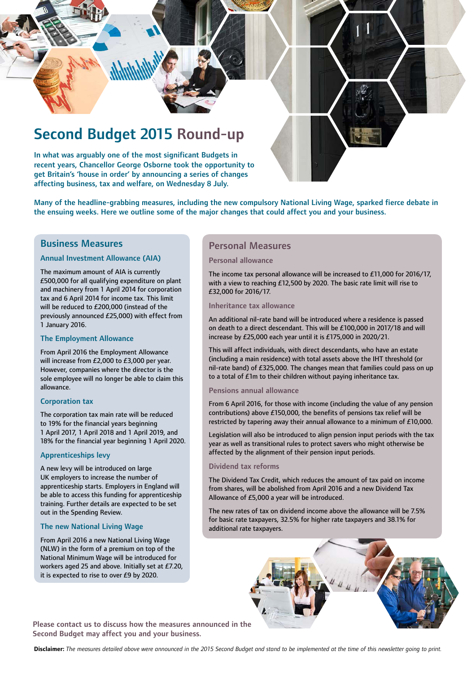

Many of the headline-grabbing measures, including the new compulsory National Living Wage, sparked fierce debate in the ensuing weeks. Here we outline some of the major changes that could affect you and your business.

### Business Measures

#### Annual Investment Allowance (AIA)

The maximum amount of AIA is currently £500,000 for all qualifying expenditure on plant and machinery from 1 April 2014 for corporation tax and 6 April 2014 for income tax. This limit will be reduced to £200,000 (instead of the previously announced £25,000) with effect from 1 January 2016.

affecting business, tax and welfare, on Wednesday 8 July.

#### The Employment Allowance

From April 2016 the Employment Allowance will increase from £2,000 to £3,000 per year. However, companies where the director is the sole employee will no longer be able to claim this allowance.

#### Corporation tax

The corporation tax main rate will be reduced to 19% for the financial years beginning 1 April 2017, 1 April 2018 and 1 April 2019, and 18% for the financial year beginning 1 April 2020.

#### Apprenticeships levy

A new levy will be introduced on large UK employers to increase the number of apprenticeship starts. Employers in England will be able to access this funding for apprenticeship training. Further details are expected to be set out in the Spending Review.

#### The new National Living Wage

From April 2016 a new National Living Wage (NLW) in the form of a premium on top of the National Minimum Wage will be introduced for workers aged 25 and above. Initially set at £7.20, it is expected to rise to over £9 by 2020.

### Personal Measures

#### Personal allowance

The income tax personal allowance will be increased to £11,000 for 2016/17, with a view to reaching £12,500 by 2020. The basic rate limit will rise to £32,000 for 2016/17.

Inheritance tax allowance

An additional nil-rate band will be introduced where a residence is passed on death to a direct descendant. This will be £100,000 in 2017/18 and will increase by £25,000 each year until it is £175,000 in 2020/21.

This will affect individuals, with direct descendants, who have an estate (including a main residence) with total assets above the IHT threshold (or nil-rate band) of £325,000. The changes mean that families could pass on up to a total of £1m to their children without paying inheritance tax.

#### Pensions annual allowance

From 6 April 2016, for those with income (including the value of any pension contributions) above £150,000, the benefits of pensions tax relief will be restricted by tapering away their annual allowance to a minimum of £10,000.

Legislation will also be introduced to align pension input periods with the tax year as well as transitional rules to protect savers who might otherwise be affected by the alignment of their pension input periods.

#### Dividend tax reforms

The Dividend Tax Credit, which reduces the amount of tax paid on income from shares, will be abolished from April 2016 and a new Dividend Tax Allowance of £5,000 a year will be introduced.

The new rates of tax on dividend income above the allowance will be 7.5% for basic rate taxpayers, 32.5% for higher rate taxpayers and 38.1% for additional rate taxpayers.



Please contact us to discuss how the measures announced in the Second Budget may affect you and your business.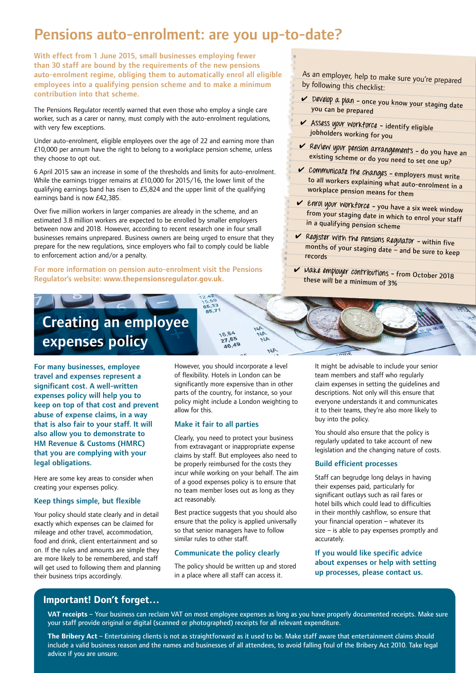# Pensions auto-enrolment: are you up-to-date?

With effect from 1 June 2015, small businesses employing fewer than 30 staff are bound by the requirements of the new pensions auto-enrolment regime, obliging them to automatically enrol all eligible employees into a qualifying pension scheme and to make a minimum contribution into that scheme.

The Pensions Regulator recently warned that even those who employ a single care worker, such as a carer or nanny, must comply with the auto-enrolment regulations, with very few exceptions.

Under auto-enrolment, eligible employees over the age of 22 and earning more than £10,000 per annum have the right to belong to a workplace pension scheme, unless they choose to opt out.

6 April 2015 saw an increase in some of the thresholds and limits for auto-enrolment. While the earnings trigger remains at £10,000 for 2015/16, the lower limit of the qualifying earnings band has risen to £5,824 and the upper limit of the qualifying earnings band is now £42,385.

Over five million workers in larger companies are already in the scheme, and an estimated 3.8 million workers are expected to be enrolled by smaller employers between now and 2018. However, according to recent research one in four small businesses remains unprepared. Business owners are being urged to ensure that they prepare for the new regulations, since employers who fail to comply could be liable to enforcement action and/or a penalty.

For more information on pension auto-enrolment visit the Pensions Regulator's website: **www.thepensionsregulator.gov.uk**.

As an employer, help to make sure you're prepared by following this checklist:

- ✔ **Develop a plan –** once you know your staging date you can be prepared
- ✔ **Assess your workforce** identify eligible jobholders working for you
- ✔ **Review your pension arrangements –** do you have an existing scheme or do you need to set one up?
- ✔ **Communicate the changes –** employers must write to all workers explaining what auto-enrolment in a workplace pension means for them
- ✔ **Enrol your workforce –** you have a six week window from your staging date in which to enrol your staff in a qualifying pension scheme
- ✔ **Register with the Pensions Regulator –** within five months of your staging date – and be sure to keep records
- ✔ **Make employer contributions –** from October 2018 these will be a minimum of 3%

# Creating an employee expenses policy

For many businesses, employee travel and expenses represent a significant cost. A well-written expenses policy will help you to keep on top of that cost and prevent abuse of expense claims, in a way that is also fair to your staff. It will also allow you to demonstrate to HM Revenue & Customs (HMRC) that you are complying with your legal obligations.

Here are some key areas to consider when creating your expenses policy.

#### Keep things simple, but flexible

Your policy should state clearly and in detail exactly which expenses can be claimed for mileage and other travel, accommodation, food and drink, client entertainment and so on. If the rules and amounts are simple they are more likely to be remembered, and staff will get used to following them and planning their business trips accordingly.

However, you should incorporate a level of flexibility. Hotels in London can be significantly more expensive than in other parts of the country, for instance, so your policy might include a London weighting to allow for this.

 $44$ ۹ù

 $44$ 

#### Make it fair to all parties

15.59<br>65,33<br>85,71

18.84 27,65 46,49

Clearly, you need to protect your business from extravagant or inappropriate expense claims by staff. But employees also need to be properly reimbursed for the costs they incur while working on your behalf. The aim of a good expenses policy is to ensure that no team member loses out as long as they act reasonably.

Best practice suggests that you should also ensure that the policy is applied universally so that senior managers have to follow similar rules to other staff.

#### Communicate the policy clearly

The policy should be written up and stored in a place where all staff can access it.

It might be advisable to include your senior team members and staff who regularly claim expenses in setting the guidelines and descriptions. Not only will this ensure that everyone understands it and communicates it to their teams, they're also more likely to buy into the policy.

You should also ensure that the policy is regularly updated to take account of new legislation and the changing nature of costs.

#### Build efficient processes

Staff can begrudge long delays in having their expenses paid, particularly for significant outlays such as rail fares or hotel bills which could lead to difficulties in their monthly cashflow, so ensure that your financial operation – whatever its size – is able to pay expenses promptly and accurately.

If you would like specific advice about expenses or help with setting up processes, please contact us.

# **Important! Don't forget…**

**VAT receipts** – Your business can reclaim VAT on most employee expenses as long as you have properly documented receipts. Make sure your staff provide original or digital (scanned or photographed) receipts for all relevant expenditure.

**The Bribery Act** – Entertaining clients is not as straightforward as it used to be. Make staff aware that entertainment claims should include a valid business reason and the names and businesses of all attendees, to avoid falling foul of the Bribery Act 2010. Take legal advice if you are unsure.